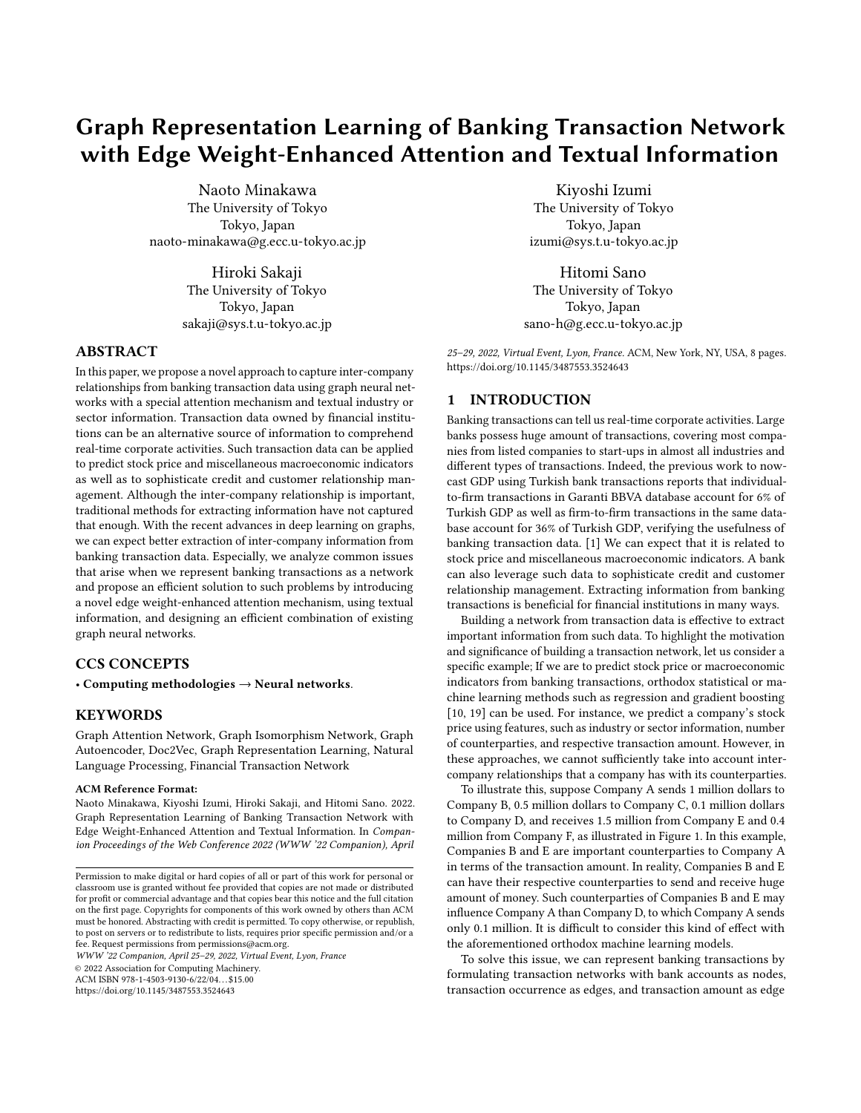# Graph Representation Learning of Banking Transaction Network with Edge Weight-Enhanced Attention and Textual Information

Naoto Minakawa The University of Tokyo Tokyo, Japan naoto-minakawa@g.ecc.u-tokyo.ac.jp

> Hiroki Sakaji The University of Tokyo Tokyo, Japan sakaji@sys.t.u-tokyo.ac.jp

# ABSTRACT

In this paper, we propose a novel approach to capture inter-company relationships from banking transaction data using graph neural networks with a special attention mechanism and textual industry or sector information. Transaction data owned by financial institutions can be an alternative source of information to comprehend real-time corporate activities. Such transaction data can be applied to predict stock price and miscellaneous macroeconomic indicators as well as to sophisticate credit and customer relationship management. Although the inter-company relationship is important, traditional methods for extracting information have not captured that enough. With the recent advances in deep learning on graphs, we can expect better extraction of inter-company information from banking transaction data. Especially, we analyze common issues that arise when we represent banking transactions as a network and propose an efficient solution to such problems by introducing a novel edge weight-enhanced attention mechanism, using textual information, and designing an efficient combination of existing graph neural networks.

# CCS CONCEPTS

• Computing methodologies  $\rightarrow$  Neural networks.

# **KEYWORDS**

Graph Attention Network, Graph Isomorphism Network, Graph Autoencoder, Doc2Vec, Graph Representation Learning, Natural Language Processing, Financial Transaction Network

## ACM Reference Format:

Naoto Minakawa, Kiyoshi Izumi, Hiroki Sakaji, and Hitomi Sano. 2022. Graph Representation Learning of Banking Transaction Network with Edge Weight-Enhanced Attention and Textual Information. In Companion Proceedings of the Web Conference 2022 (WWW '22 Companion), April

WWW '22 Companion, April 25–29, 2022, Virtual Event, Lyon, France

© 2022 Association for Computing Machinery.

ACM ISBN 978-1-4503-9130-6/22/04. . . \$15.00

<https://doi.org/10.1145/3487553.3524643>

Kiyoshi Izumi The University of Tokyo Tokyo, Japan izumi@sys.t.u-tokyo.ac.jp

Hitomi Sano The University of Tokyo Tokyo, Japan sano-h@g.ecc.u-tokyo.ac.jp

25–29, 2022, Virtual Event, Lyon, France. ACM, New York, NY, USA, [8](#page-7-0) pages. <https://doi.org/10.1145/3487553.3524643>

## 1 INTRODUCTION

Banking transactions can tell us real-time corporate activities. Large banks possess huge amount of transactions, covering most companies from listed companies to start-ups in almost all industries and different types of transactions. Indeed, the previous work to nowcast GDP using Turkish bank transactions reports that individualto-firm transactions in Garanti BBVA database account for 6% of Turkish GDP as well as firm-to-firm transactions in the same database account for 36% of Turkish GDP, verifying the usefulness of banking transaction data. [\[1\]](#page-7-1) We can expect that it is related to stock price and miscellaneous macroeconomic indicators. A bank can also leverage such data to sophisticate credit and customer relationship management. Extracting information from banking transactions is beneficial for financial institutions in many ways.

Building a network from transaction data is effective to extract important information from such data. To highlight the motivation and significance of building a transaction network, let us consider a specific example; If we are to predict stock price or macroeconomic indicators from banking transactions, orthodox statistical or machine learning methods such as regression and gradient boosting [\[10,](#page-7-2) [19\]](#page-7-3) can be used. For instance, we predict a company's stock price using features, such as industry or sector information, number of counterparties, and respective transaction amount. However, in these approaches, we cannot sufficiently take into account intercompany relationships that a company has with its counterparties.

To illustrate this, suppose Company A sends 1 million dollars to Company B, 0.5 million dollars to Company C, 0.1 million dollars to Company D, and receives 1.5 million from Company E and 0.4 million from Company F, as illustrated in Figure 1. In this example, Companies B and E are important counterparties to Company A in terms of the transaction amount. In reality, Companies B and E can have their respective counterparties to send and receive huge amount of money. Such counterparties of Companies B and E may influence Company A than Company D, to which Company A sends only 0.1 million. It is difficult to consider this kind of effect with the aforementioned orthodox machine learning models.

To solve this issue, we can represent banking transactions by formulating transaction networks with bank accounts as nodes, transaction occurrence as edges, and transaction amount as edge

Permission to make digital or hard copies of all or part of this work for personal or classroom use is granted without fee provided that copies are not made or distributed for profit or commercial advantage and that copies bear this notice and the full citation on the first page. Copyrights for components of this work owned by others than ACM must be honored. Abstracting with credit is permitted. To copy otherwise, or republish, to post on servers or to redistribute to lists, requires prior specific permission and/or a fee. Request permissions from permissions@acm.org.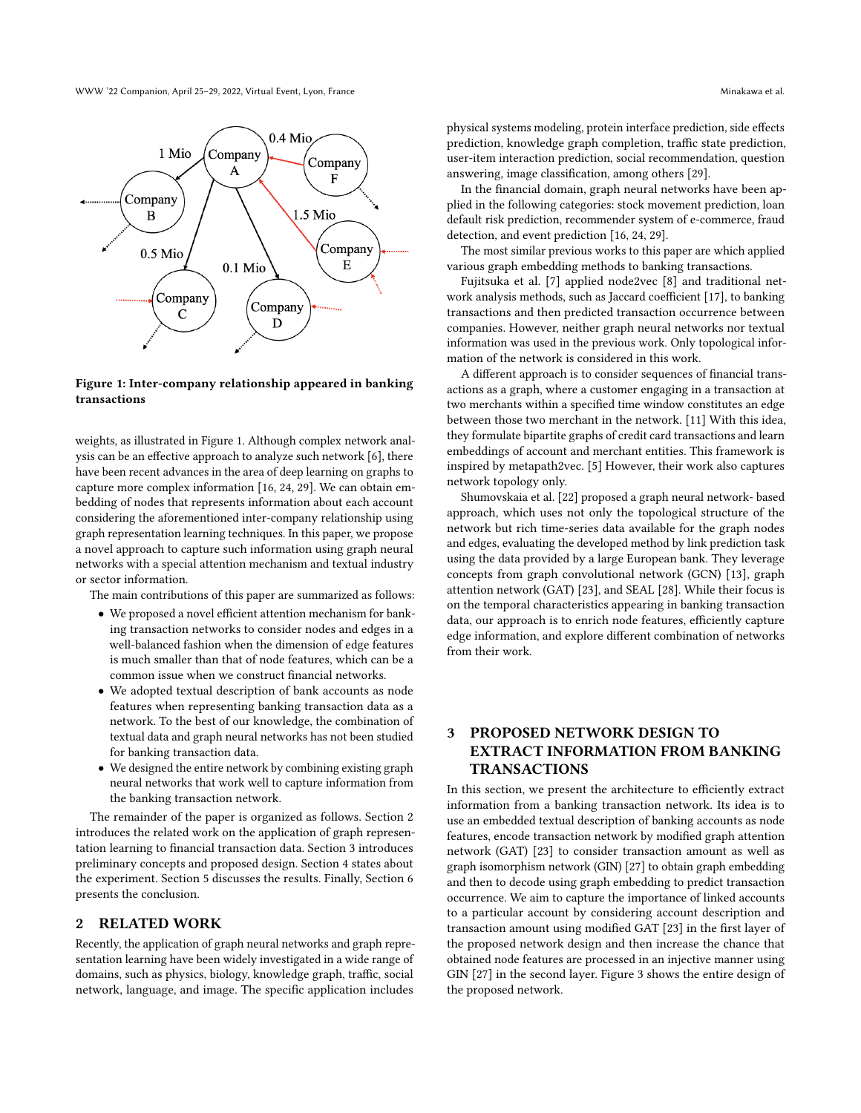WWW '22 Companion, April 25–29, 2022, Virtual Event, Lyon, France Minakawa et al. (2012) Minakawa et al.



## Figure 1: Inter-company relationship appeared in banking transactions

weights, as illustrated in Figure 1. Although complex network analysis can be an effective approach to analyze such network [\[6\]](#page-7-4), there have been recent advances in the area of deep learning on graphs to capture more complex information [\[16,](#page-7-5) [24,](#page-7-6) [29\]](#page-7-7). We can obtain embedding of nodes that represents information about each account considering the aforementioned inter-company relationship using graph representation learning techniques. In this paper, we propose a novel approach to capture such information using graph neural networks with a special attention mechanism and textual industry or sector information.

The main contributions of this paper are summarized as follows:

- We proposed a novel efficient attention mechanism for banking transaction networks to consider nodes and edges in a well-balanced fashion when the dimension of edge features is much smaller than that of node features, which can be a common issue when we construct financial networks.
- We adopted textual description of bank accounts as node features when representing banking transaction data as a network. To the best of our knowledge, the combination of textual data and graph neural networks has not been studied for banking transaction data.
- We designed the entire network by combining existing graph neural networks that work well to capture information from the banking transaction network.

The remainder of the paper is organized as follows. Section 2 introduces the related work on the application of graph representation learning to financial transaction data. Section 3 introduces preliminary concepts and proposed design. Section 4 states about the experiment. Section 5 discusses the results. Finally, Section 6 presents the conclusion.

# 2 RELATED WORK

Recently, the application of graph neural networks and graph representation learning have been widely investigated in a wide range of domains, such as physics, biology, knowledge graph, traffic, social network, language, and image. The specific application includes

physical systems modeling, protein interface prediction, side effects prediction, knowledge graph completion, traffic state prediction, user-item interaction prediction, social recommendation, question answering, image classification, among others [\[29\]](#page-7-7).

In the financial domain, graph neural networks have been applied in the following categories: stock movement prediction, loan default risk prediction, recommender system of e-commerce, fraud detection, and event prediction [\[16,](#page-7-5) [24,](#page-7-6) [29\]](#page-7-7).

The most similar previous works to this paper are which applied various graph embedding methods to banking transactions.

Fujitsuka et al. [\[7\]](#page-7-8) applied node2vec [\[8\]](#page-7-9) and traditional network analysis methods, such as Jaccard coefficient [\[17\]](#page-7-10), to banking transactions and then predicted transaction occurrence between companies. However, neither graph neural networks nor textual information was used in the previous work. Only topological information of the network is considered in this work.

A different approach is to consider sequences of financial transactions as a graph, where a customer engaging in a transaction at two merchants within a specified time window constitutes an edge between those two merchant in the network. [\[11\]](#page-7-11) With this idea, they formulate bipartite graphs of credit card transactions and learn embeddings of account and merchant entities. This framework is inspired by metapath2vec. [\[5\]](#page-7-12) However, their work also captures network topology only.

Shumovskaia et al. [\[22\]](#page-7-13) proposed a graph neural network- based approach, which uses not only the topological structure of the network but rich time-series data available for the graph nodes and edges, evaluating the developed method by link prediction task using the data provided by a large European bank. They leverage concepts from graph convolutional network (GCN) [\[13\]](#page-7-14), graph attention network (GAT) [\[23\]](#page-7-15), and SEAL [\[28\]](#page-7-16). While their focus is on the temporal characteristics appearing in banking transaction data, our approach is to enrich node features, efficiently capture edge information, and explore different combination of networks from their work.

# 3 PROPOSED NETWORK DESIGN TO EXTRACT INFORMATION FROM BANKING TRANSACTIONS

In this section, we present the architecture to efficiently extract information from a banking transaction network. Its idea is to use an embedded textual description of banking accounts as node features, encode transaction network by modified graph attention network (GAT) [\[23\]](#page-7-15) to consider transaction amount as well as graph isomorphism network (GIN) [\[27\]](#page-7-17) to obtain graph embedding and then to decode using graph embedding to predict transaction occurrence. We aim to capture the importance of linked accounts to a particular account by considering account description and transaction amount using modified GAT [\[23\]](#page-7-15) in the first layer of the proposed network design and then increase the chance that obtained node features are processed in an injective manner using GIN [\[27\]](#page-7-17) in the second layer. Figure 3 shows the entire design of the proposed network.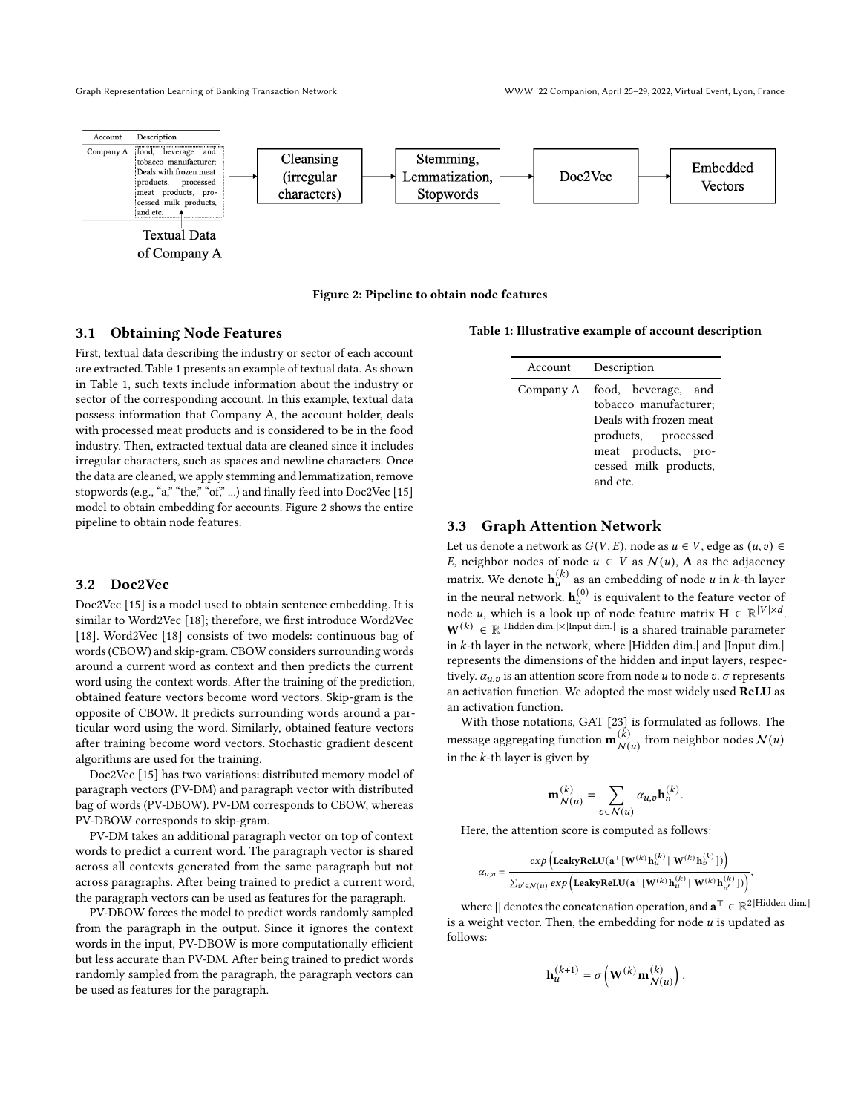

Figure 2: Pipeline to obtain node features

## 3.1 Obtaining Node Features

First, textual data describing the industry or sector of each account are extracted. Table 1 presents an example of textual data. As shown in Table 1, such texts include information about the industry or sector of the corresponding account. In this example, textual data possess information that Company A, the account holder, deals with processed meat products and is considered to be in the food industry. Then, extracted textual data are cleaned since it includes irregular characters, such as spaces and newline characters. Once the data are cleaned, we apply stemming and lemmatization, remove stopwords (e.g., "a," "the," "of," ...) and finally feed into Doc2Vec [\[15\]](#page-7-18) model to obtain embedding for accounts. Figure 2 shows the entire pipeline to obtain node features.

#### 3.2 Doc2Vec

Doc2Vec [\[15\]](#page-7-18) is a model used to obtain sentence embedding. It is similar to Word2Vec [\[18\]](#page-7-19); therefore, we first introduce Word2Vec [\[18\]](#page-7-19). Word2Vec [18] consists of two models: continuous bag of words (CBOW) and skip-gram. CBOW considers surrounding words around a current word as context and then predicts the current word using the context words. After the training of the prediction, obtained feature vectors become word vectors. Skip-gram is the opposite of CBOW. It predicts surrounding words around a particular word using the word. Similarly, obtained feature vectors after training become word vectors. Stochastic gradient descent algorithms are used for the training.

Doc2Vec [\[15\]](#page-7-18) has two variations: distributed memory model of paragraph vectors (PV-DM) and paragraph vector with distributed bag of words (PV-DBOW). PV-DM corresponds to CBOW, whereas PV-DBOW corresponds to skip-gram.

PV-DM takes an additional paragraph vector on top of context words to predict a current word. The paragraph vector is shared across all contexts generated from the same paragraph but not across paragraphs. After being trained to predict a current word, the paragraph vectors can be used as features for the paragraph.

PV-DBOW forces the model to predict words randomly sampled from the paragraph in the output. Since it ignores the context words in the input, PV-DBOW is more computationally efficient but less accurate than PV-DM. After being trained to predict words randomly sampled from the paragraph, the paragraph vectors can be used as features for the paragraph.

Table 1: Illustrative example of account description

| Account   | Description                                                                                                                                               |
|-----------|-----------------------------------------------------------------------------------------------------------------------------------------------------------|
| Company A | food, beverage, and<br>tobacco manufacturer;<br>Deals with frozen meat<br>products, processed<br>meat products, pro-<br>cessed milk products,<br>and etc. |

# 3.3 Graph Attention Network

Let us denote a network as  $G(V, E)$ , node as  $u \in V$ , edge as  $(u, v) \in$ E, neighbor nodes of node  $u \in V$  as  $\mathcal{N}(u)$ , **A** as the adjacency matrix. We denote  $\mathbf{h}_u^{(k)}$  as an embedding of node u in k-th layer in the neural network.  $\mathbf{h}_u^{(0)}$  is equivalent to the feature vector of node *u*, which is a look up of node feature matrix  $\mathbf{H} \in \mathbb{R}^{|V| \times d}$ .  $\mathbf{W}^{(k)} \in \mathbb{R}^{|\text{Hidden dim.}| \times |\text{Input dim.}|}$  is a shared trainable parameter in  $k$ -th layer in the network, where |Hidden dim.| and |Input dim.| represents the dimensions of the hidden and input layers, respectively.  $\alpha_{u,v}$  is an attention score from node u to node v.  $\sigma$  represents an activation function. We adopted the most widely used ReLU as an activation function.

With those notations, GAT [\[23\]](#page-7-15) is formulated as follows. The message aggregating function  $\mathbf{m}_{\mathcal{M}}^{(\vec{k})}$  $\binom{k}{N(u)}$  from neighbor nodes  $N(u)$ in the  $k$ -th layer is given by

$$
\mathbf{m}_{\mathcal{N}(u)}^{(k)} = \sum_{v \in \mathcal{N}(u)} \alpha_{u,v} \mathbf{h}_v^{(k)}.
$$

Here, the attention score is computed as follows:

 $\alpha_{u,v}$ 

$$
= \frac{exp\left(\text{LeakyReLU}(a^{\top}[W^{(k)}\textbf{h}_{u}^{(k)}||W^{(k)}\textbf{h}_{v}^{(k)}])\right)}{\sum_{v'\in\mathcal{N}(u)}exp\left(\text{LeakyReLU}(a^{\top}[W^{(k)}\textbf{h}_{u}^{(k)}||W^{(k)}\textbf{h}_{v'}^{(k)}])\right)},
$$

where || denotes the concatenation operation, and  $\mathbf{a}^\top \in \mathbb{R}^{2|\text{Hidden dim.}|}$ is a weight vector. Then, the embedding for node  $u$  is updated as follows:

$$
\mathbf{h}_u^{(k+1)} = \sigma\left(\mathbf{W}^{(k)}\mathbf{m}_{\mathcal{N}(u)}^{(k)}\right).
$$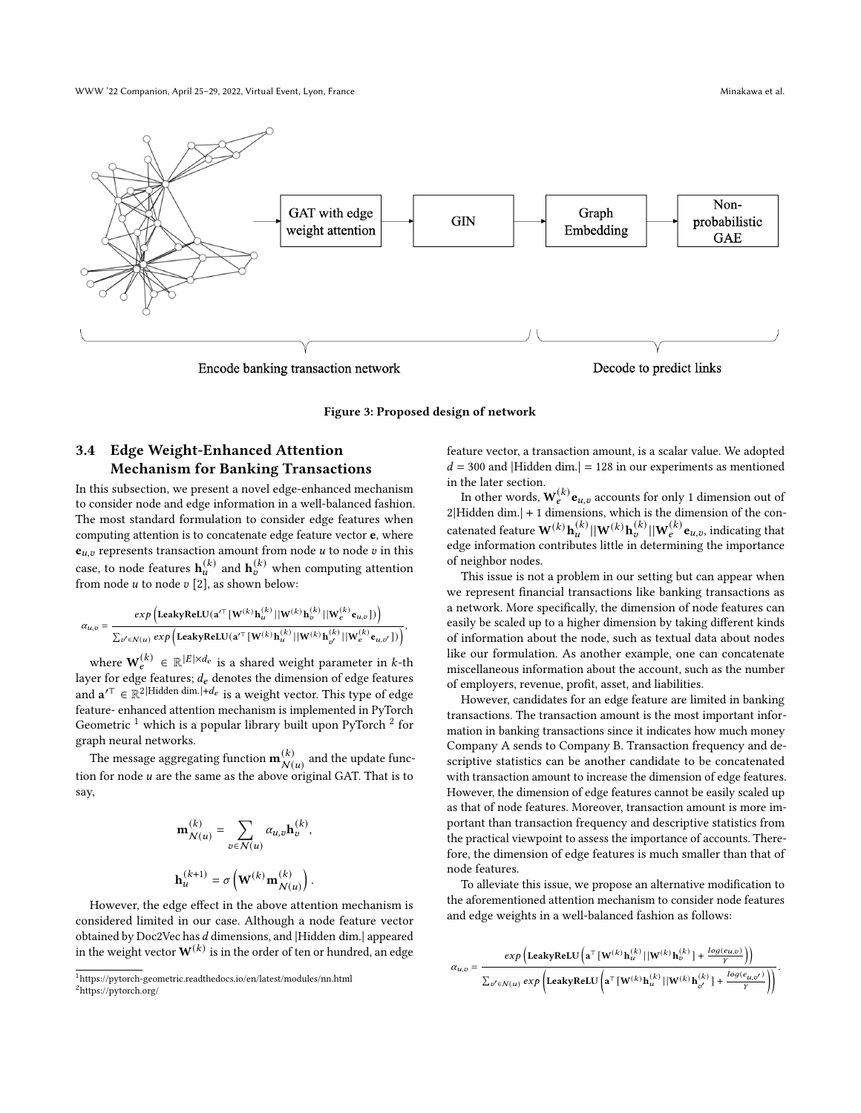WWW '22 Companion, April 25–29, 2022, Virtual Event, Lyon, France Minakawa et al. (2012) Minakawa et al.



Figure 3: Proposed design of network

# 3.4 Edge Weight-Enhanced Attention Mechanism for Banking Transactions

In this subsection, we present a novel edge-enhanced mechanism to consider node and edge information in a well-balanced fashion. The most standard formulation to consider edge features when computing attention is to concatenate edge feature vector e, where  $e_{u,v}$  represents transaction amount from node  $u$  to node  $v$  in this case, to node features  $\mathbf{h}_u^{(k)}$  and  $\mathbf{h}_v^{(k)}$  when computing attention from node  $u$  to node  $v$  [\[2\]](#page-7-20), as shown below:

$$
\alpha_{u,v} = \frac{exp\left(\text{LeakyReLU}(\mathbf{a}'^{\top}[\mathbf{W}^{(k)}\mathbf{h}_u^{(k)}||\mathbf{W}^{(k)}\mathbf{h}_v^{(k)}||\mathbf{W}_e^{(k)}\mathbf{e}_{u,v}])\right)}{\sum_{v' \in \mathcal{N}(u)} exp\left(\text{LeakyReLU}(\mathbf{a}'^{\top}[\mathbf{W}^{(k)}\mathbf{h}_u^{(k)}||\mathbf{W}^{(k)}\mathbf{h}_{v'}^{(k)}||\mathbf{W}_e^{(k)}\mathbf{e}_{u,v'}])\right)},
$$

where  $\mathbf{W}_{e}^{(k)} \in \mathbb{R}^{|E| \times d_e}$  is a shared weight parameter in k-th layer for edge features;  $d_e$  denotes the dimension of edge features and  $\mathbf{a}'^{\top} \in \mathbb{R}^{2|\text{Hidden dim.}|+d_e}$  is a weight vector. This type of edge feature- enhanced attention mechanism is implemented in PyTorch Geometric  $1$  which is a popular library built upon PyTorch  $2$  for graph neural networks.

The message aggregating function  $\mathbf{m}_{\mathcal{M}}^{(k)}$  $\bigwedge^{(k)}$  and the update function for node  $u$  are the same as the above original GAT. That is to say,

$$
\mathbf{m}_{\mathcal{N}(u)}^{(k)} = \sum_{v \in \mathcal{N}(u)} \alpha_{u,v} \mathbf{h}_v^{(k)},
$$
  

$$
\mathbf{h}_u^{(k+1)} = \sigma \left( \mathbf{W}^{(k)} \mathbf{m}_{\mathcal{N}(u)}^{(k)} \right).
$$

However, the edge effect in the above attention mechanism is considered limited in our case. Although a node feature vector obtained by Doc2Vec has d dimensions, and |Hidden dim.| appeared in the weight vector  $\mathbf{W}^{(k)}$  is in the order of ten or hundred, an edge feature vector, a transaction amount, is a scalar value. We adopted  $d = 300$  and |Hidden dim.| = 128 in our experiments as mentioned in the later section.

In other words,  $W_e^{(k)} e_{u,v}$  accounts for only 1 dimension out of 2|Hidden dim.| + 1 dimensions, which is the dimension of the concatenated feature  $\mathbf{W}^{(k)}\mathbf{h}_u^{(k)}||\mathbf{W}^{(k)}\mathbf{h}_v^{(k)}||\mathbf{W}_e^{(k)}\mathbf{e}_{u,v}$ , indicating that edge information contributes little in determining the importance of neighbor nodes.

This issue is not a problem in our setting but can appear when we represent financial transactions like banking transactions as a network. More specifically, the dimension of node features can easily be scaled up to a higher dimension by taking different kinds of information about the node, such as textual data about nodes like our formulation. As another example, one can concatenate miscellaneous information about the account, such as the number of employers, revenue, profit, asset, and liabilities.

However, candidates for an edge feature are limited in banking transactions. The transaction amount is the most important information in banking transactions since it indicates how much money Company A sends to Company B. Transaction frequency and descriptive statistics can be another candidate to be concatenated with transaction amount to increase the dimension of edge features. However, the dimension of edge features cannot be easily scaled up as that of node features. Moreover, transaction amount is more important than transaction frequency and descriptive statistics from the practical viewpoint to assess the importance of accounts. Therefore, the dimension of edge features is much smaller than that of node features.

To alleviate this issue, we propose an alternative modification to the aforementioned attention mechanism to consider node features and edge weights in a well-balanced fashion as follows:

$$
\alpha_{u,v} = \frac{\exp \left(\operatorname{LeakyReLU}\left(\mathbf{a}^\top \left[\mathbf{W}^{(k)} \, \mathbf{h}_u^{(k)} \, | | \mathbf{W}^{(k)} \, \mathbf{h}_v^{(k)} \, \right] + \frac{\log(e_{u,v})}{\gamma}\right)\right)}{\sum_{v' \in \mathcal{N}(u)} \exp \left(\operatorname{LeakyReLU}\left(\mathbf{a}^\top \left[\mathbf{W}^{(k)} \, \mathbf{h}_u^{(k)} \, | | \mathbf{W}^{(k)} \, \mathbf{h}_{v'}^{(k)} \, \right] + \frac{\log(e_{u,v'})}{\gamma}\right)\right)}.
$$

<span id="page-3-1"></span><span id="page-3-0"></span> $^1$ https://pytorch-geometric.readthedocs.io/en/latest/modules/nn.html <sup>2</sup>https://pytorch.org/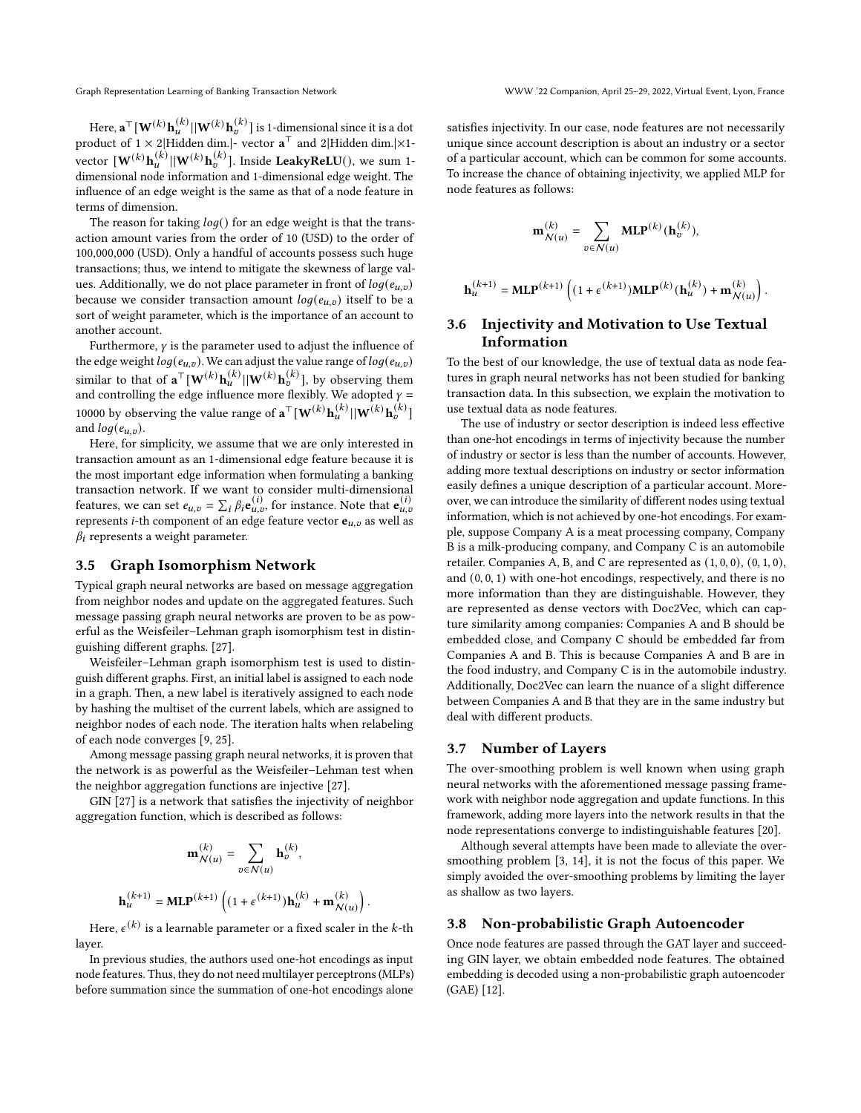Here,  $\mathbf{a}^\top [\mathbf{W}^{(k)} \mathbf{h}_u^{(k)} || \mathbf{W}^{(k)} \mathbf{h}_v^{(k)}]$  is 1-dimensional since it is a dot product of  $1 \times 2$ |Hidden dim.|- vector  $\mathbf{a}^{\top}$  and  $2$ |Hidden dim.|×1vector  $\begin{bmatrix} \mathbf{W}^{(k)} \mathbf{h}_u^{(k)} || \mathbf{W}^{(k)} \mathbf{h}_v^{(k)} \end{bmatrix}$ . Inside LeakyReLU(), we sum 1dimensional node information and 1-dimensional edge weight. The influence of an edge weight is the same as that of a node feature in terms of dimension.

The reason for taking  $log()$  for an edge weight is that the transaction amount varies from the order of 10 (USD) to the order of 100,000,000 (USD). Only a handful of accounts possess such huge transactions; thus, we intend to mitigate the skewness of large values. Additionally, we do not place parameter in front of  $log(e_{u,v})$ because we consider transaction amount  $log(e_{u,v})$  itself to be a sort of weight parameter, which is the importance of an account to another account.

Furthermore,  $\gamma$  is the parameter used to adjust the influence of the edge weight  $log(e_{u,v})$ . We can adjust the value range of  $log(e_{u,v})$ similar to that of  $\mathbf{a}^{\top}[\mathbf{W}^{(k)}\mathbf{h}_u^{(k)}||\mathbf{W}^{(k)}\mathbf{h}_v^{(k)}]$ , by observing them and controlling the edge influence more flexibly. We adopted  $y =$ 10000 by observing the value range of  $\mathbf{a}^\top [\mathbf{W}^{(k)} \mathbf{h}_{u}^{(k)} || \mathbf{W}^{(k)} \mathbf{h}_{v}^{(k)}]$ and  $log(e_{u,v})$ .

Here, for simplicity, we assume that we are only interested in transaction amount as an 1-dimensional edge feature because it is the most important edge information when formulating a banking transaction network. If we want to consider multi-dimensional features, we can set  $e_{u,v} = \sum_i \beta_i \mathbf{e}_{u,v}^{(i)}$ , for instance. Note that  $\mathbf{e}_{u,v}^{(i)}$ represents *i*-th component of an edge feature vector  $e_{u,v}$  as well as  $\beta_i$  represents a weight parameter.

## 3.5 Graph Isomorphism Network

Typical graph neural networks are based on message aggregation from neighbor nodes and update on the aggregated features. Such message passing graph neural networks are proven to be as powerful as the Weisfeiler–Lehman graph isomorphism test in distinguishing different graphs. [\[27\]](#page-7-17).

Weisfeiler–Lehman graph isomorphism test is used to distinguish different graphs. First, an initial label is assigned to each node in a graph. Then, a new label is iteratively assigned to each node by hashing the multiset of the current labels, which are assigned to neighbor nodes of each node. The iteration halts when relabeling of each node converges [\[9,](#page-7-21) [25\]](#page-7-22).

Among message passing graph neural networks, it is proven that the network is as powerful as the Weisfeiler–Lehman test when the neighbor aggregation functions are injective [\[27\]](#page-7-17).

GIN [\[27\]](#page-7-17) is a network that satisfies the injectivity of neighbor aggregation function, which is described as follows:

$$
\mathbf{m}_{\mathcal{N}(u)}^{(k)} = \sum_{v \in \mathcal{N}(u)} \mathbf{h}_v^{(k)},
$$

$$
\mathbf{h}_u^{(k+1)} = \mathbf{MLP}^{(k+1)} \left( (1 + \epsilon^{(k+1)}) \mathbf{h}_u^{(k)} + \mathbf{m}_{\mathcal{N}(u)}^{(k)} \right)
$$

.

Here,  $\epsilon^{(k)}$  is a learnable parameter or a fixed scaler in the *k*-th layer.

In previous studies, the authors used one-hot encodings as input node features. Thus, they do not need multilayer perceptrons (MLPs) before summation since the summation of one-hot encodings alone satisfies injectivity. In our case, node features are not necessarily unique since account description is about an industry or a sector of a particular account, which can be common for some accounts. To increase the chance of obtaining injectivity, we applied MLP for node features as follows:

$$
\mathbf{m}_{\mathcal{N}(u)}^{(k)} = \sum_{v \in \mathcal{N}(u)} \text{MLP}^{(k)}(\mathbf{h}_v^{(k)}),
$$

$$
\mathbf{h}_u^{(k+1)} = \text{MLP}^{(k+1)}\left((1+\epsilon^{(k+1)})\text{MLP}^{(k)}(\mathbf{h}_u^{(k)}) + \mathbf{m}_{\mathcal{N}(u)}^{(k)}\right).
$$

# 3.6 Injectivity and Motivation to Use Textual Information

To the best of our knowledge, the use of textual data as node features in graph neural networks has not been studied for banking transaction data. In this subsection, we explain the motivation to use textual data as node features.

The use of industry or sector description is indeed less effective than one-hot encodings in terms of injectivity because the number of industry or sector is less than the number of accounts. However, adding more textual descriptions on industry or sector information easily defines a unique description of a particular account. Moreover, we can introduce the similarity of different nodes using textual information, which is not achieved by one-hot encodings. For example, suppose Company A is a meat processing company, Company B is a milk-producing company, and Company C is an automobile retailer. Companies A, B, and C are represented as (1, 0, 0), (0, 1, 0), and (0, 0, 1) with one-hot encodings, respectively, and there is no more information than they are distinguishable. However, they are represented as dense vectors with Doc2Vec, which can capture similarity among companies: Companies A and B should be embedded close, and Company C should be embedded far from Companies A and B. This is because Companies A and B are in the food industry, and Company C is in the automobile industry. Additionally, Doc2Vec can learn the nuance of a slight difference between Companies A and B that they are in the same industry but deal with different products.

## 3.7 Number of Layers

The over-smoothing problem is well known when using graph neural networks with the aforementioned message passing framework with neighbor node aggregation and update functions. In this framework, adding more layers into the network results in that the node representations converge to indistinguishable features [\[20\]](#page-7-23).

Although several attempts have been made to alleviate the oversmoothing problem [\[3,](#page-7-24) [14\]](#page-7-25), it is not the focus of this paper. We simply avoided the over-smoothing problems by limiting the layer as shallow as two layers.

## 3.8 Non-probabilistic Graph Autoencoder

Once node features are passed through the GAT layer and succeeding GIN layer, we obtain embedded node features. The obtained embedding is decoded using a non-probabilistic graph autoencoder (GAE) [\[12\]](#page-7-26).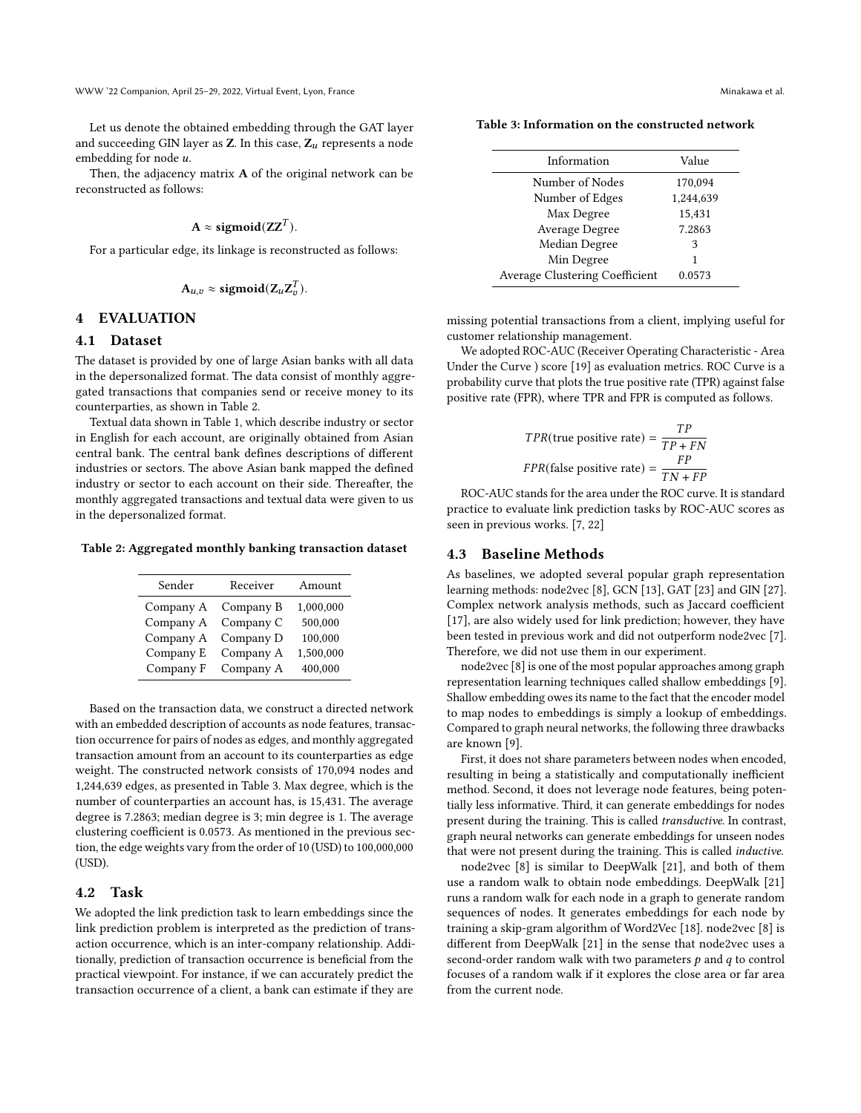Let us denote the obtained embedding through the GAT layer and succeeding GIN layer as  $Z$ . In this case,  $Z_u$  represents a node embedding for node  $u$ .

Then, the adjacency matrix  $A$  of the original network can be reconstructed as follows:

$$
\mathbf{A} \approx \text{sigmoid}(\mathbf{ZZ}^T).
$$

For a particular edge, its linkage is reconstructed as follows:

$$
A_{u,v} \approx sigmoid(Z_uZ_v^T).
$$

## 4 EVALUATION

## 4.1 Dataset

The dataset is provided by one of large Asian banks with all data in the depersonalized format. The data consist of monthly aggregated transactions that companies send or receive money to its counterparties, as shown in Table 2.

Textual data shown in Table 1, which describe industry or sector in English for each account, are originally obtained from Asian central bank. The central bank defines descriptions of different industries or sectors. The above Asian bank mapped the defined industry or sector to each account on their side. Thereafter, the monthly aggregated transactions and textual data were given to us in the depersonalized format.

Table 2: Aggregated monthly banking transaction dataset

| Sender    | Receiver  | Amount    |
|-----------|-----------|-----------|
| Company A | Company B | 1,000,000 |
| Company A | Company C | 500,000   |
| Company A | Company D | 100,000   |
| Company E | Company A | 1,500,000 |
| Company F | Company A | 400,000   |

Based on the transaction data, we construct a directed network with an embedded description of accounts as node features, transaction occurrence for pairs of nodes as edges, and monthly aggregated transaction amount from an account to its counterparties as edge weight. The constructed network consists of 170,094 nodes and 1,244,639 edges, as presented in Table 3. Max degree, which is the number of counterparties an account has, is 15,431. The average degree is 7.2863; median degree is 3; min degree is 1. The average clustering coefficient is 0.0573. As mentioned in the previous section, the edge weights vary from the order of 10 (USD) to 100,000,000 (USD).

#### 4.2 Task

We adopted the link prediction task to learn embeddings since the link prediction problem is interpreted as the prediction of transaction occurrence, which is an inter-company relationship. Additionally, prediction of transaction occurrence is beneficial from the practical viewpoint. For instance, if we can accurately predict the transaction occurrence of a client, a bank can estimate if they are

Table 3: Information on the constructed network

| Information                           | Value     |
|---------------------------------------|-----------|
| Number of Nodes                       | 170.094   |
| Number of Edges                       | 1,244,639 |
| Max Degree                            | 15,431    |
| Average Degree                        | 7.2863    |
| Median Degree                         | 3         |
| Min Degree                            | 1         |
| <b>Average Clustering Coefficient</b> | 0.0573    |
|                                       |           |

missing potential transactions from a client, implying useful for customer relationship management.

We adopted ROC-AUC (Receiver Operating Characteristic - Area Under the Curve ) score [\[19\]](#page-7-3) as evaluation metrics. ROC Curve is a probability curve that plots the true positive rate (TPR) against false positive rate (FPR), where TPR and FPR is computed as follows.

$$
TPR(\text{true positive rate}) = \frac{TP}{TP + FN}
$$
  
FPR(\text{false positive rate}) = 
$$
\frac{FP}{TN + FP}
$$

ROC-AUC stands for the area under the ROC curve. It is standard practice to evaluate link prediction tasks by ROC-AUC scores as seen in previous works. [\[7,](#page-7-8) [22\]](#page-7-13)

#### 4.3 Baseline Methods

As baselines, we adopted several popular graph representation learning methods: node2vec [\[8\]](#page-7-9), GCN [\[13\]](#page-7-14), GAT [\[23\]](#page-7-15) and GIN [\[27\]](#page-7-17). Complex network analysis methods, such as Jaccard coefficient [\[17\]](#page-7-10), are also widely used for link prediction; however, they have been tested in previous work and did not outperform node2vec [\[7\]](#page-7-8). Therefore, we did not use them in our experiment.

node2vec [\[8\]](#page-7-9) is one of the most popular approaches among graph representation learning techniques called shallow embeddings [\[9\]](#page-7-21). Shallow embedding owes its name to the fact that the encoder model to map nodes to embeddings is simply a lookup of embeddings. Compared to graph neural networks, the following three drawbacks are known [\[9\]](#page-7-21).

First, it does not share parameters between nodes when encoded, resulting in being a statistically and computationally inefficient method. Second, it does not leverage node features, being potentially less informative. Third, it can generate embeddings for nodes present during the training. This is called transductive. In contrast, graph neural networks can generate embeddings for unseen nodes that were not present during the training. This is called inductive.

node2vec [\[8\]](#page-7-9) is similar to DeepWalk [\[21\]](#page-7-27), and both of them use a random walk to obtain node embeddings. DeepWalk [\[21\]](#page-7-27) runs a random walk for each node in a graph to generate random sequences of nodes. It generates embeddings for each node by training a skip-gram algorithm of Word2Vec [\[18\]](#page-7-19). node2vec [\[8\]](#page-7-9) is different from DeepWalk [\[21\]](#page-7-27) in the sense that node2vec uses a second-order random walk with two parameters  $p$  and  $q$  to control focuses of a random walk if it explores the close area or far area from the current node.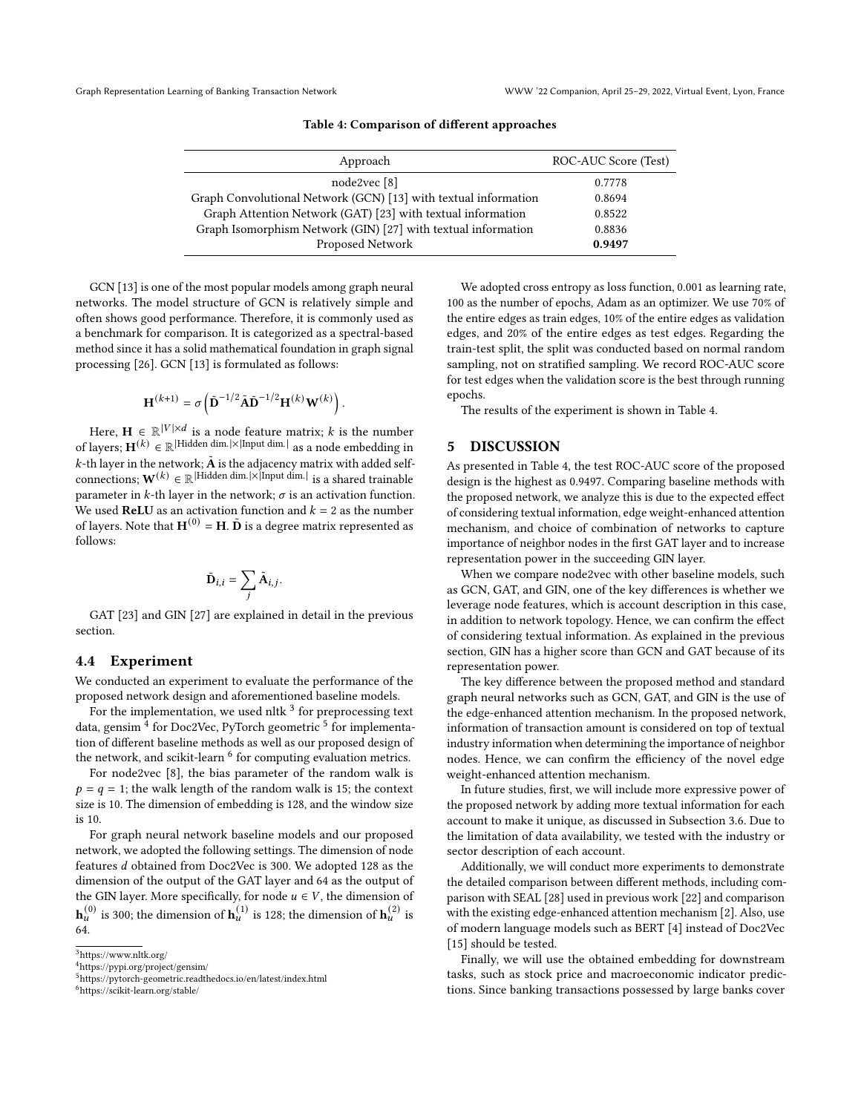| Approach                                                        | ROC-AUC Score (Test) |
|-----------------------------------------------------------------|----------------------|
| node2vec [8]                                                    | 0.7778               |
| Graph Convolutional Network (GCN) [13] with textual information | 0.8694               |
| Graph Attention Network (GAT) [23] with textual information     | 0.8522               |
| Graph Isomorphism Network (GIN) [27] with textual information   | 0.8836               |
| Proposed Network                                                | 0.9497               |

Table 4: Comparison of different approaches

GCN [\[13\]](#page-7-14) is one of the most popular models among graph neural networks. The model structure of GCN is relatively simple and often shows good performance. Therefore, it is commonly used as a benchmark for comparison. It is categorized as a spectral-based method since it has a solid mathematical foundation in graph signal processing [\[26\]](#page-7-28). GCN [\[13\]](#page-7-14) is formulated as follows:

$$
\mathbf{H}^{(k+1)} = \sigma \left( \tilde{\mathbf{D}}^{-1/2} \tilde{\mathbf{A}} \tilde{\mathbf{D}}^{-1/2} \mathbf{H}^{(k)} \mathbf{W}^{(k)} \right)
$$

.

Here,  $\mathbf{H} \in \mathbb{R}^{|V| \times d}$  is a node feature matrix; k is the number of layers;  $\mathbf{H}^{(k)} \in \mathbb{R}^{|\text{Hidden dim.}| \times |\text{Input dim.}|}$  as a node embedding in *k*-th layer in the network;  $\tilde{A}$  is the adjacency matrix with added self-connections;  $W^{(k)} \in \mathbb{R}^{|Hidden \dim|\times|Input \dim|}$  is a shared trainable parameter in k-th layer in the network;  $\sigma$  is an activation function. We used **ReLU** as an activation function and  $k = 2$  as the number of layers. Note that  $\mathbf{H}^{(0)} = \mathbf{H}$ .  $\tilde{\mathbf{D}}$  is a degree matrix represented as follows:

$$
\tilde{\mathbf{D}}_{i,i} = \sum_{i} \tilde{\mathbf{A}}_{i,j}.
$$

GAT [\[23\]](#page-7-15) and GIN [\[27\]](#page-7-17) are explained in detail in the previous section.

## 4.4 Experiment

We conducted an experiment to evaluate the performance of the proposed network design and aforementioned baseline models.

For the implementation, we used nltk  $3$  for preprocessing text data, gensim <sup>[4](#page-6-1)</sup> for Doc2Vec, PyTorch geometric <sup>[5](#page-6-2)</sup> for implementation of different baseline methods as well as our proposed design of the network, and scikit-learn <sup>[6](#page-6-3)</sup> for computing evaluation metrics.

For node2vec [\[8\]](#page-7-9), the bias parameter of the random walk is  $p = q = 1$ ; the walk length of the random walk is 15; the context size is 10. The dimension of embedding is 128, and the window size is 10.

For graph neural network baseline models and our proposed network, we adopted the following settings. The dimension of node features  $d$  obtained from Doc2Vec is 300. We adopted 128 as the dimension of the output of the GAT layer and 64 as the output of the GIN layer. More specifically, for node  $u \in V$ , the dimension of  $\mathbf{h}_u^{(0)}$  is 300; the dimension of  $\mathbf{h}_u^{(1)}$  is 128; the dimension of  $\mathbf{h}_u^{(2)}$  is 64.

<span id="page-6-3"></span><sup>6</sup>https://scikit-learn.org/stable/

We adopted cross entropy as loss function, 0.001 as learning rate, 100 as the number of epochs, Adam as an optimizer. We use 70% of the entire edges as train edges, 10% of the entire edges as validation edges, and 20% of the entire edges as test edges. Regarding the train-test split, the split was conducted based on normal random sampling, not on stratified sampling. We record ROC-AUC score for test edges when the validation score is the best through running epochs.

The results of the experiment is shown in Table 4.

#### 5 DISCUSSION

As presented in Table 4, the test ROC-AUC score of the proposed design is the highest as 0.9497. Comparing baseline methods with the proposed network, we analyze this is due to the expected effect of considering textual information, edge weight-enhanced attention mechanism, and choice of combination of networks to capture importance of neighbor nodes in the first GAT layer and to increase representation power in the succeeding GIN layer.

When we compare node2vec with other baseline models, such as GCN, GAT, and GIN, one of the key differences is whether we leverage node features, which is account description in this case, in addition to network topology. Hence, we can confirm the effect of considering textual information. As explained in the previous section, GIN has a higher score than GCN and GAT because of its representation power.

The key difference between the proposed method and standard graph neural networks such as GCN, GAT, and GIN is the use of the edge-enhanced attention mechanism. In the proposed network, information of transaction amount is considered on top of textual industry information when determining the importance of neighbor nodes. Hence, we can confirm the efficiency of the novel edge weight-enhanced attention mechanism.

In future studies, first, we will include more expressive power of the proposed network by adding more textual information for each account to make it unique, as discussed in Subsection 3.6. Due to the limitation of data availability, we tested with the industry or sector description of each account.

Additionally, we will conduct more experiments to demonstrate the detailed comparison between different methods, including comparison with SEAL [\[28\]](#page-7-16) used in previous work [\[22\]](#page-7-13) and comparison with the existing edge-enhanced attention mechanism [\[2\]](#page-7-20). Also, use of modern language models such as BERT [\[4\]](#page-7-29) instead of Doc2Vec [\[15\]](#page-7-18) should be tested.

Finally, we will use the obtained embedding for downstream tasks, such as stock price and macroeconomic indicator predictions. Since banking transactions possessed by large banks cover

<span id="page-6-0"></span><sup>3</sup>https://www.nltk.org/

<span id="page-6-1"></span><sup>4</sup>https://pypi.org/project/gensim/

<span id="page-6-2"></span><sup>5</sup>https://pytorch-geometric.readthedocs.io/en/latest/index.html